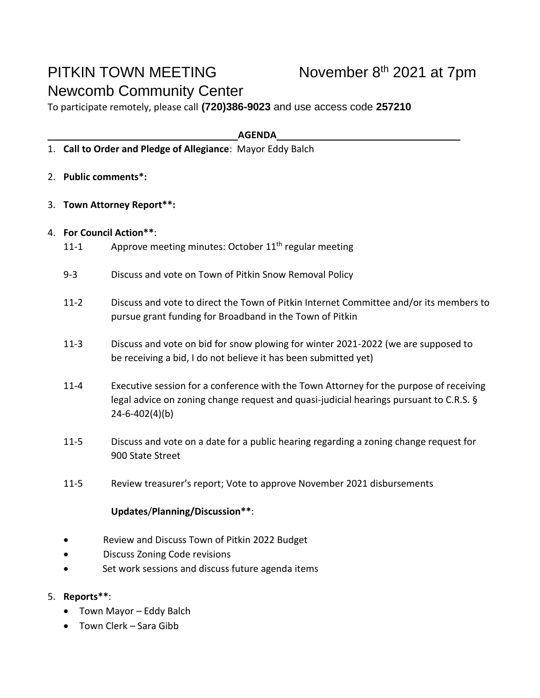## PITKIN TOWN MEETING Newcomb Community Center

To participate remotely, please call **(720)386-9023** and use access code **257210**

**AGENDA**

- 1. **Call to Order and Pledge of Allegiance**: Mayor Eddy Balch
- 2. **Public comments\*:**
- 3. **Town Attorney Report\*\*:**
- 4. **For Council Action\*\***:
	- 11-1 Approve meeting minutes: October 11<sup>th</sup> regular meeting
	- 9-3 Discuss and vote on Town of Pitkin Snow Removal Policy
	- 11-2 Discuss and vote to direct the Town of Pitkin Internet Committee and/or its members to pursue grant funding for Broadband in the Town of Pitkin
	- 11-3 Discuss and vote on bid for snow plowing for winter 2021-2022 (we are supposed to be receiving a bid, I do not believe it has been submitted yet)
	- 11-4 Executive session for a conference with the Town Attorney for the purpose of receiving legal advice on zoning change request and quasi-judicial hearings pursuant to C.R.S. § 24-6-402(4)(b)
	- 11-5 Discuss and vote on a date for a public hearing regarding a zoning change request for 900 State Street
	- 11-5 Review treasurer's report; Vote to approve November 2021 disbursements

## **Updates**/**Planning/Discussion\*\***:

- Review and Discuss Town of Pitkin 2022 Budget
- Discuss Zoning Code revisions
- Set work sessions and discuss future agenda items

## 5. **Reports\*\***:

- Town Mayor Eddy Balch
- Town Clerk Sara Gibb